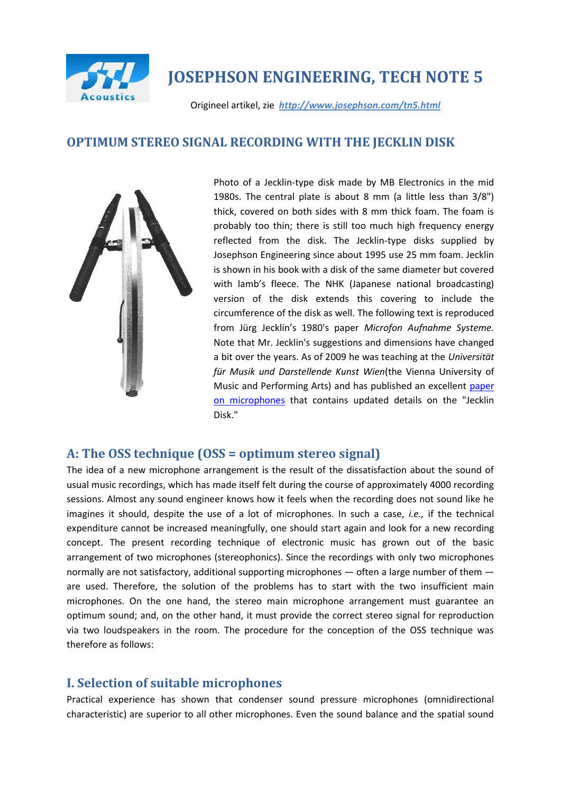

# **JOSEPHSON ENGINEERING, TECH NOTE 5**

Origineel artikel, zie *http://www.josephson.com/tn5.html*

# **OPTIMUM STEREO SIGNAL RECORDING WITH THE JECKLIN DISK**



Photo of a Jecklin-type disk made by MB Electronics in the mid 1980s. The central plate is about 8 mm (a little less than 3/8") thick, covered on both sides with 8 mm thick foam. The foam is probably too thin; there is still too much high frequency energy reflected from the disk. The Jecklin-type disks supplied by Josephson Engineering since about 1995 use 25 mm foam. Jecklin is shown in his book with a disk of the same diameter but covered with lamb's fleece. The NHK (Japanese national broadcasting) version of the disk extends this covering to include the circumference of the disk as well. The following text is reproduced from Jürg Jecklin's 1980's paper *Microfon Aufnahme Systeme.* Note that Mr. Jecklin's suggestions and dimensions have changed a bit over the years. As of 2009 he was teaching at the *Universität für Musik und Darstellende Kunst Wien*(the Vienna University of Music and Performing Arts) and has published an excellent [paper](http://www.mdw.ac.at/I101/iea/tm/scripts/jecklin/tt03mikrofon.pdf)  [on microphones](http://www.mdw.ac.at/I101/iea/tm/scripts/jecklin/tt03mikrofon.pdf) that contains updated details on the "Jecklin Disk."

# **A: The OSS technique (OSS = optimum stereo signal)**

The idea of a new microphone arrangement is the result of the dissatisfaction about the sound of usual music recordings, which has made itself felt during the course of approximately 4000 recording sessions. Almost any sound engineer knows how it feels when the recording does not sound like he imagines it should, despite the use of a lot of microphones. In such a case, *i.e.,* if the technical expenditure cannot be increased meaningfully, one should start again and look for a new recording concept. The present recording technique of electronic music has grown out of the basic arrangement of two microphones (stereophonics). Since the recordings with only two microphones normally are not satisfactory, additional supporting microphones — often a large number of them are used. Therefore, the solution of the problems has to start with the two insufficient main microphones. On the one hand, the stereo main microphone arrangement must guarantee an optimum sound; and, on the other hand, it must provide the correct stereo signal for reproduction via two loudspeakers in the room. The procedure for the conception of the OSS technique was therefore as follows:

# **I. Selection of suitable microphones**

Practical experience has shown that condenser sound pressure microphones (omnidirectional characteristic) are superior to all other microphones. Even the sound balance and the spatial sound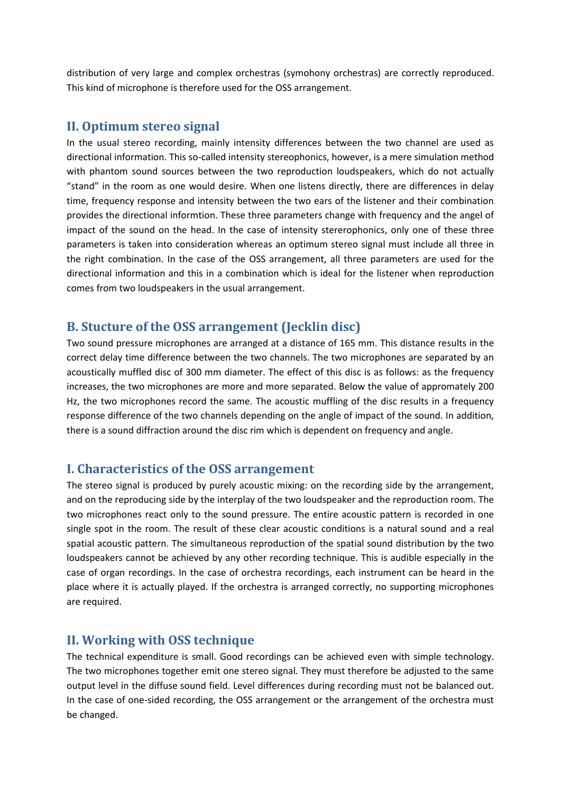distribution of very large and complex orchestras (symohony orchestras) are correctly reproduced. This kind of microphone is therefore used for the OSS arrangement.

#### **II. Optimum stereo signal**

In the usual stereo recording, mainly intensity differences between the two channel are used as directional information. This so-called intensity stereophonics, however, is a mere simulation method with phantom sound sources between the two reproduction loudspeakers, which do not actually "stand" in the room as one would desire. When one listens directly, there are differences in delay time, frequency response and intensity between the two ears of the listener and their combination provides the directional informtion. These three parameters change with frequency and the angel of impact of the sound on the head. In the case of intensity stererophonics, only one of these three parameters is taken into consideration whereas an optimum stereo signal must include all three in the right combination. In the case of the OSS arrangement, all three parameters are used for the directional information and this in a combination which is ideal for the listener when reproduction comes from two loudspeakers in the usual arrangement.

#### **B. Stucture of the OSS arrangement (Jecklin disc)**

Two sound pressure microphones are arranged at a distance of 165 mm. This distance results in the correct delay time difference between the two channels. The two microphones are separated by an acoustically muffled disc of 300 mm diameter. The effect of this disc is as follows: as the frequency increases, the two microphones are more and more separated. Below the value of appromately 200 Hz, the two microphones record the same. The acoustic muffling of the disc results in a frequency response difference of the two channels depending on the angle of impact of the sound. In addition, there is a sound diffraction around the disc rim which is dependent on frequency and angle.

#### **I. Characteristics of the OSS arrangement**

The stereo signal is produced by purely acoustic mixing: on the recording side by the arrangement, and on the reproducing side by the interplay of the two loudspeaker and the reproduction room. The two microphones react only to the sound pressure. The entire acoustic pattern is recorded in one single spot in the room. The result of these clear acoustic conditions is a natural sound and a real spatial acoustic pattern. The simultaneous reproduction of the spatial sound distribution by the two loudspeakers cannot be achieved by any other recording technique. This is audible especially in the case of organ recordings. In the case of orchestra recordings, each instrument can be heard in the place where it is actually played. If the orchestra is arranged correctly, no supporting microphones are required.

#### **II. Working with OSS technique**

The technical expenditure is small. Good recordings can be achieved even with simple technology. The two microphones together emit one stereo signal. They must therefore be adjusted to the same output level in the diffuse sound field. Level differences during recording must not be balanced out. In the case of one-sided recording, the OSS arrangement or the arrangement of the orchestra must be changed.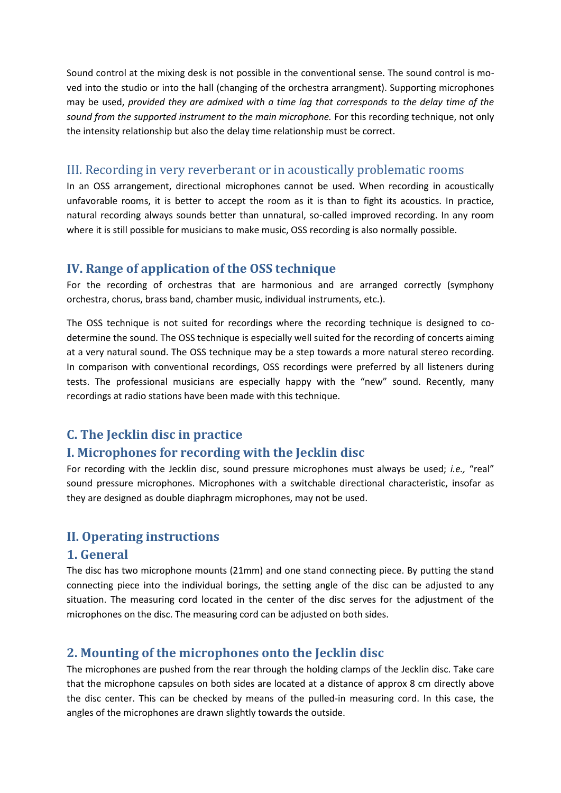Sound control at the mixing desk is not possible in the conventional sense. The sound control is moved into the studio or into the hall (changing of the orchestra arrangment). Supporting microphones may be used, *provided they are admixed with a time lag that corresponds to the delay time of the sound from the supported instrument to the main microphone.* For this recording technique, not only the intensity relationship but also the delay time relationship must be correct.

## III. Recording in very reverberant or in acoustically problematic rooms

In an OSS arrangement, directional microphones cannot be used. When recording in acoustically unfavorable rooms, it is better to accept the room as it is than to fight its acoustics. In practice, natural recording always sounds better than unnatural, so-called improved recording. In any room where it is still possible for musicians to make music, OSS recording is also normally possible.

#### **IV. Range of application of the OSS technique**

For the recording of orchestras that are harmonious and are arranged correctly (symphony orchestra, chorus, brass band, chamber music, individual instruments, etc.).

The OSS technique is not suited for recordings where the recording technique is designed to codetermine the sound. The OSS technique is especially well suited for the recording of concerts aiming at a very natural sound. The OSS technique may be a step towards a more natural stereo recording. In comparison with conventional recordings, OSS recordings were preferred by all listeners during tests. The professional musicians are especially happy with the "new" sound. Recently, many recordings at radio stations have been made with this technique.

# **C. The Jecklin disc in practice**

# **I. Microphones for recording with the Jecklin disc**

For recording with the Jecklin disc, sound pressure microphones must always be used; *i.e.,* "real" sound pressure microphones. Microphones with a switchable directional characteristic, insofar as they are designed as double diaphragm microphones, may not be used.

# **II. Operating instructions**

#### **1. General**

The disc has two microphone mounts (21mm) and one stand connecting piece. By putting the stand connecting piece into the individual borings, the setting angle of the disc can be adjusted to any situation. The measuring cord located in the center of the disc serves for the adjustment of the microphones on the disc. The measuring cord can be adjusted on both sides.

# **2. Mounting of the microphones onto the Jecklin disc**

The microphones are pushed from the rear through the holding clamps of the Jecklin disc. Take care that the microphone capsules on both sides are located at a distance of approx 8 cm directly above the disc center. This can be checked by means of the pulled-in measuring cord. In this case, the angles of the microphones are drawn slightly towards the outside.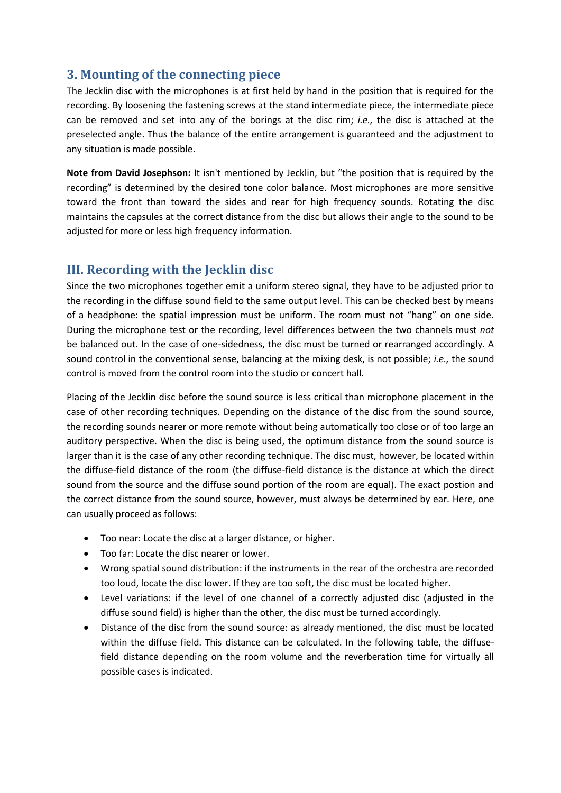# **3. Mounting of the connecting piece**

The Jecklin disc with the microphones is at first held by hand in the position that is required for the recording. By loosening the fastening screws at the stand intermediate piece, the intermediate piece can be removed and set into any of the borings at the disc rim; *i.e.,* the disc is attached at the preselected angle. Thus the balance of the entire arrangement is guaranteed and the adjustment to any situation is made possible.

**Note from David Josephson:** It isn't mentioned by Jecklin, but "the position that is required by the recording" is determined by the desired tone color balance. Most microphones are more sensitive toward the front than toward the sides and rear for high frequency sounds. Rotating the disc maintains the capsules at the correct distance from the disc but allows their angle to the sound to be adjusted for more or less high frequency information.

#### **III. Recording with the Jecklin disc**

Since the two microphones together emit a uniform stereo signal, they have to be adjusted prior to the recording in the diffuse sound field to the same output level. This can be checked best by means of a headphone: the spatial impression must be uniform. The room must not "hang" on one side. During the microphone test or the recording, level differences between the two channels must *not* be balanced out. In the case of one-sidedness, the disc must be turned or rearranged accordingly. A sound control in the conventional sense, balancing at the mixing desk, is not possible; *i.e.,* the sound control is moved from the control room into the studio or concert hall.

Placing of the Jecklin disc before the sound source is less critical than microphone placement in the case of other recording techniques. Depending on the distance of the disc from the sound source, the recording sounds nearer or more remote without being automatically too close or of too large an auditory perspective. When the disc is being used, the optimum distance from the sound source is larger than it is the case of any other recording technique. The disc must, however, be located within the diffuse-field distance of the room (the diffuse-field distance is the distance at which the direct sound from the source and the diffuse sound portion of the room are equal). The exact postion and the correct distance from the sound source, however, must always be determined by ear. Here, one can usually proceed as follows:

- Too near: Locate the disc at a larger distance, or higher.
- Too far: Locate the disc nearer or lower.
- Wrong spatial sound distribution: if the instruments in the rear of the orchestra are recorded too loud, locate the disc lower. If they are too soft, the disc must be located higher.
- Level variations: if the level of one channel of a correctly adjusted disc (adjusted in the diffuse sound field) is higher than the other, the disc must be turned accordingly.
- Distance of the disc from the sound source: as already mentioned, the disc must be located within the diffuse field. This distance can be calculated. In the following table, the diffusefield distance depending on the room volume and the reverberation time for virtually all possible cases is indicated.